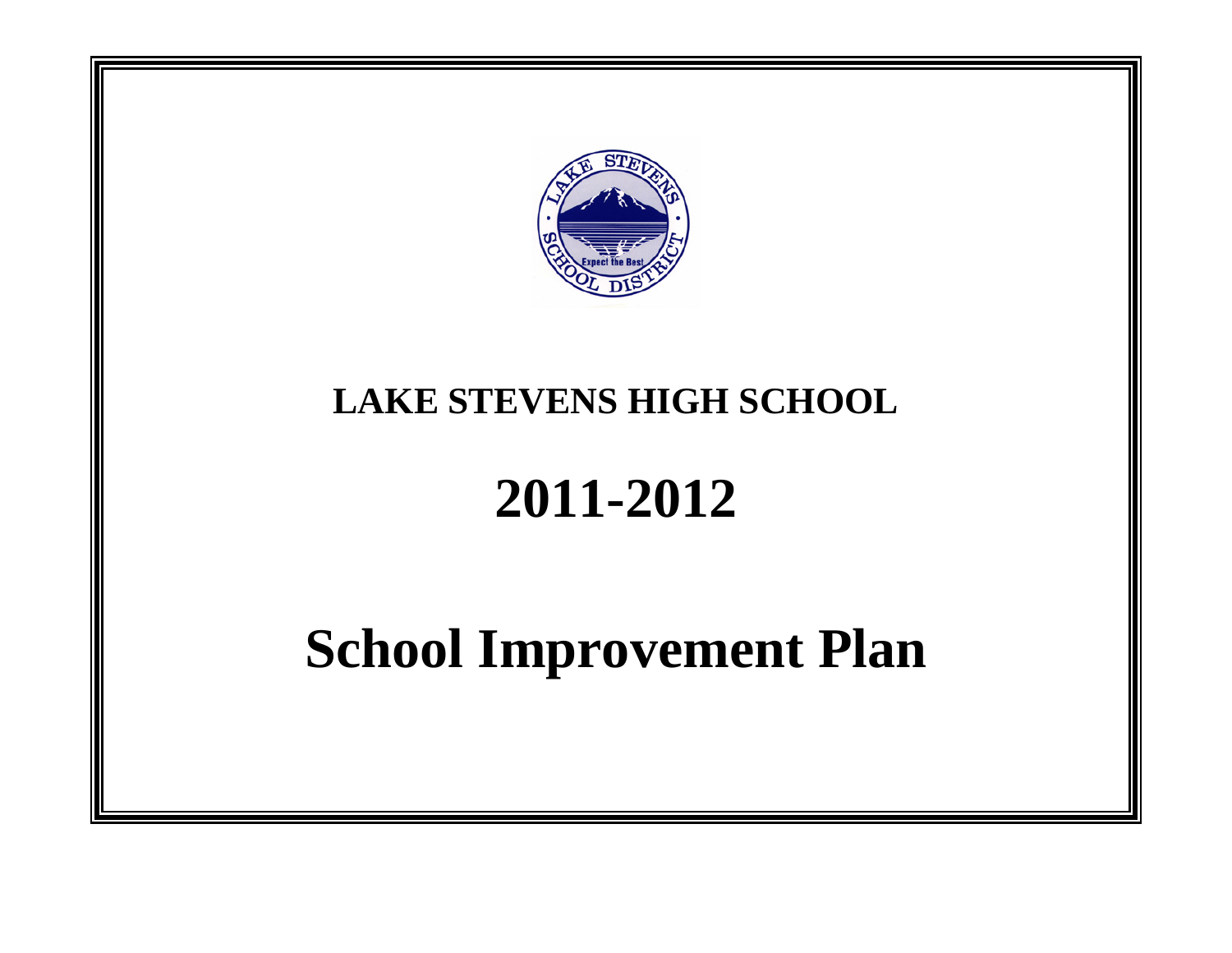

# **LAKE STEVENS HIGH SCHOOL**

# **2011-2012**

# **School Improvement Plan**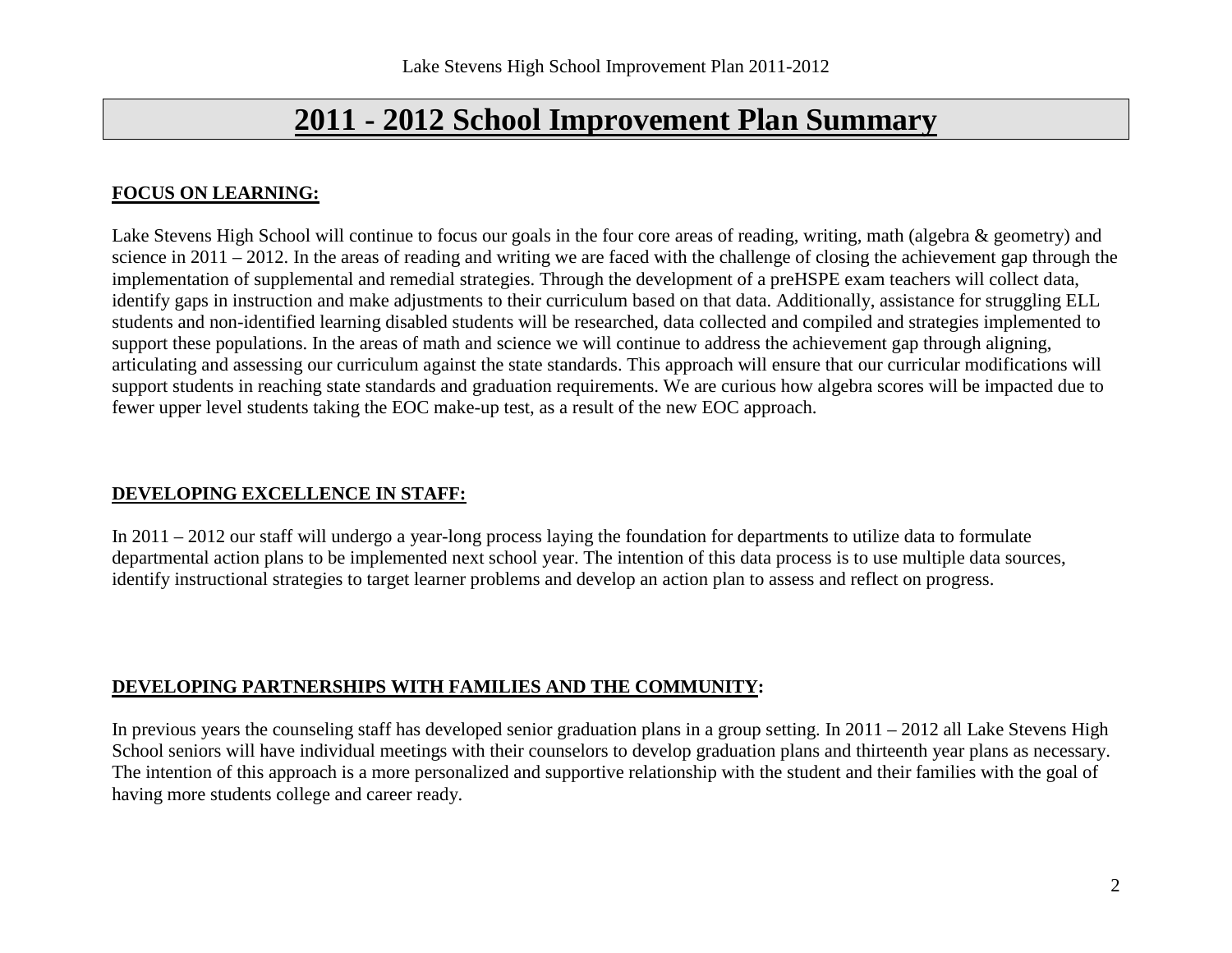# **2011 - 2012 School Improvement Plan Summary**

## **FOCUS ON LEARNING:**

Lake Stevens High School will continue to focus our goals in the four core areas of reading, writing, math (algebra & geometry) and science in 2011 – 2012. In the areas of reading and writing we are faced with the challenge of closing the achievement gap through the implementation of supplemental and remedial strategies. Through the development of a preHSPE exam teachers will collect data, identify gaps in instruction and make adjustments to their curriculum based on that data. Additionally, assistance for struggling ELL students and non-identified learning disabled students will be researched, data collected and compiled and strategies implemented to support these populations. In the areas of math and science we will continue to address the achievement gap through aligning, articulating and assessing our curriculum against the state standards. This approach will ensure that our curricular modifications will support students in reaching state standards and graduation requirements. We are curious how algebra scores will be impacted due to fewer upper level students taking the EOC make-up test, as a result of the new EOC approach.

## **DEVELOPING EXCELLENCE IN STAFF:**

In 2011 – 2012 our staff will undergo a year-long process laying the foundation for departments to utilize data to formulate departmental action plans to be implemented next school year. The intention of this data process is to use multiple data sources, identify instructional strategies to target learner problems and develop an action plan to assess and reflect on progress.

## **DEVELOPING PARTNERSHIPS WITH FAMILIES AND THE COMMUNITY:**

In previous years the counseling staff has developed senior graduation plans in a group setting. In 2011 – 2012 all Lake Stevens High School seniors will have individual meetings with their counselors to develop graduation plans and thirteenth year plans as necessary. The intention of this approach is a more personalized and supportive relationship with the student and their families with the goal of having more students college and career ready.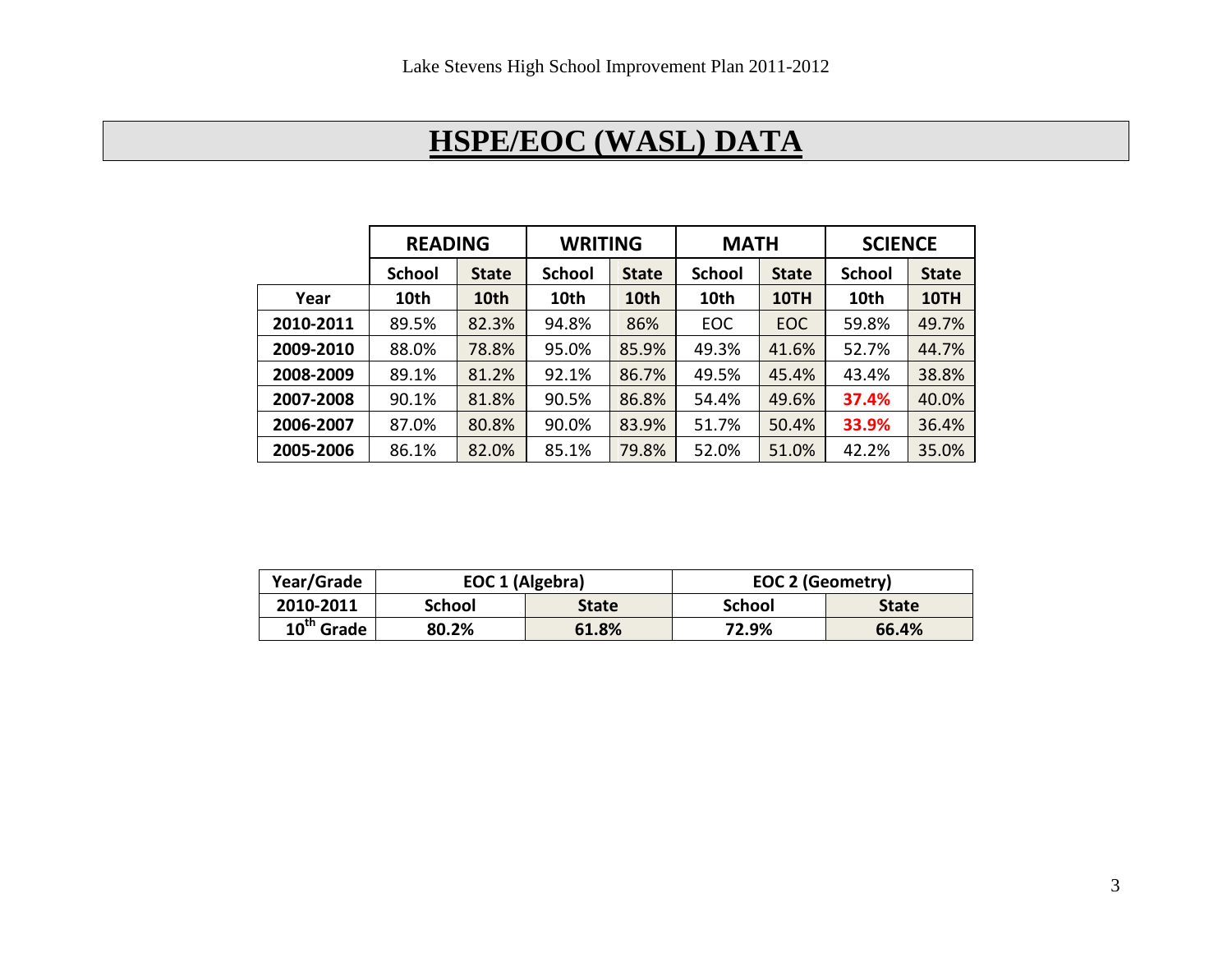# **HSPE/EOC (WASL) DATA**

|           | <b>READING</b> |              | <b>WRITING</b> |              | <b>MATH</b>   |              | <b>SCIENCE</b> |              |
|-----------|----------------|--------------|----------------|--------------|---------------|--------------|----------------|--------------|
|           | <b>School</b>  | <b>State</b> | <b>School</b>  | <b>State</b> | <b>School</b> | <b>State</b> | <b>School</b>  | <b>State</b> |
| Year      | 10th           | 10th         | 10th           | 10th         | 10th          | 10TH         | 10th           | 10TH         |
| 2010-2011 | 89.5%          | 82.3%        | 94.8%          | 86%          | <b>EOC</b>    | EOC          | 59.8%          | 49.7%        |
| 2009-2010 | 88.0%          | 78.8%        | 95.0%          | 85.9%        | 49.3%         | 41.6%        | 52.7%          | 44.7%        |
| 2008-2009 | 89.1%          | 81.2%        | 92.1%          | 86.7%        | 49.5%         | 45.4%        | 43.4%          | 38.8%        |
| 2007-2008 | 90.1%          | 81.8%        | 90.5%          | 86.8%        | 54.4%         | 49.6%        | 37.4%          | 40.0%        |
| 2006-2007 | 87.0%          | 80.8%        | 90.0%          | 83.9%        | 51.7%         | 50.4%        | 33.9%          | 36.4%        |
| 2005-2006 | 86.1%          | 82.0%        | 85.1%          | 79.8%        | 52.0%         | 51.0%        | 42.2%          | 35.0%        |

| Year/Grade   | EOC 1 (Algebra) |              | <b>EOC 2 (Geometry)</b> |              |
|--------------|-----------------|--------------|-------------------------|--------------|
| 2010-2011    | School          | <b>State</b> | School                  | <b>State</b> |
| $10th$ Grade | 80.2%           | 61.8%        | 72.9%                   | 66.4%        |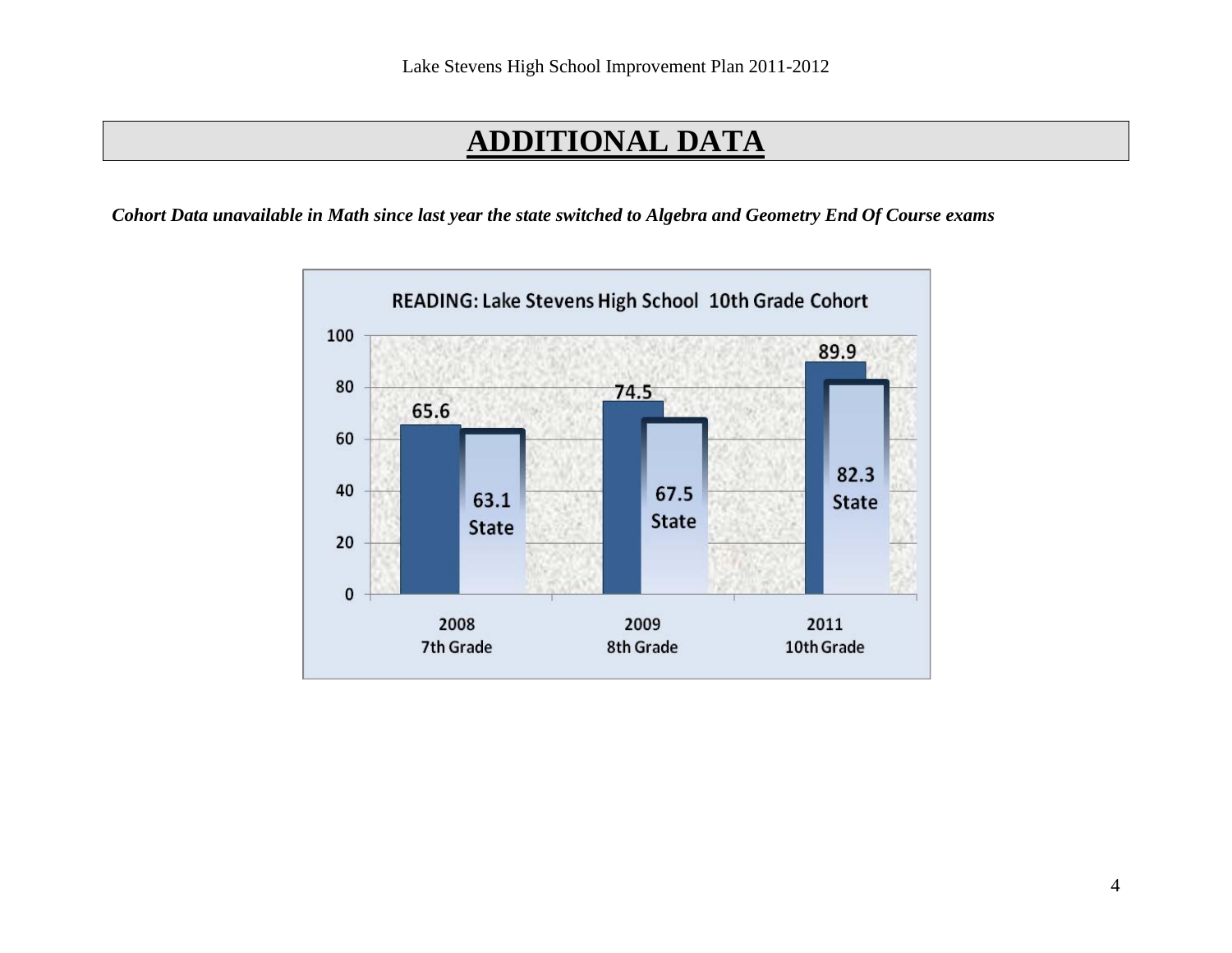# **ADDITIONAL DATA**

*Cohort Data unavailable in Math since last year the state switched to Algebra and Geometry End Of Course exams*

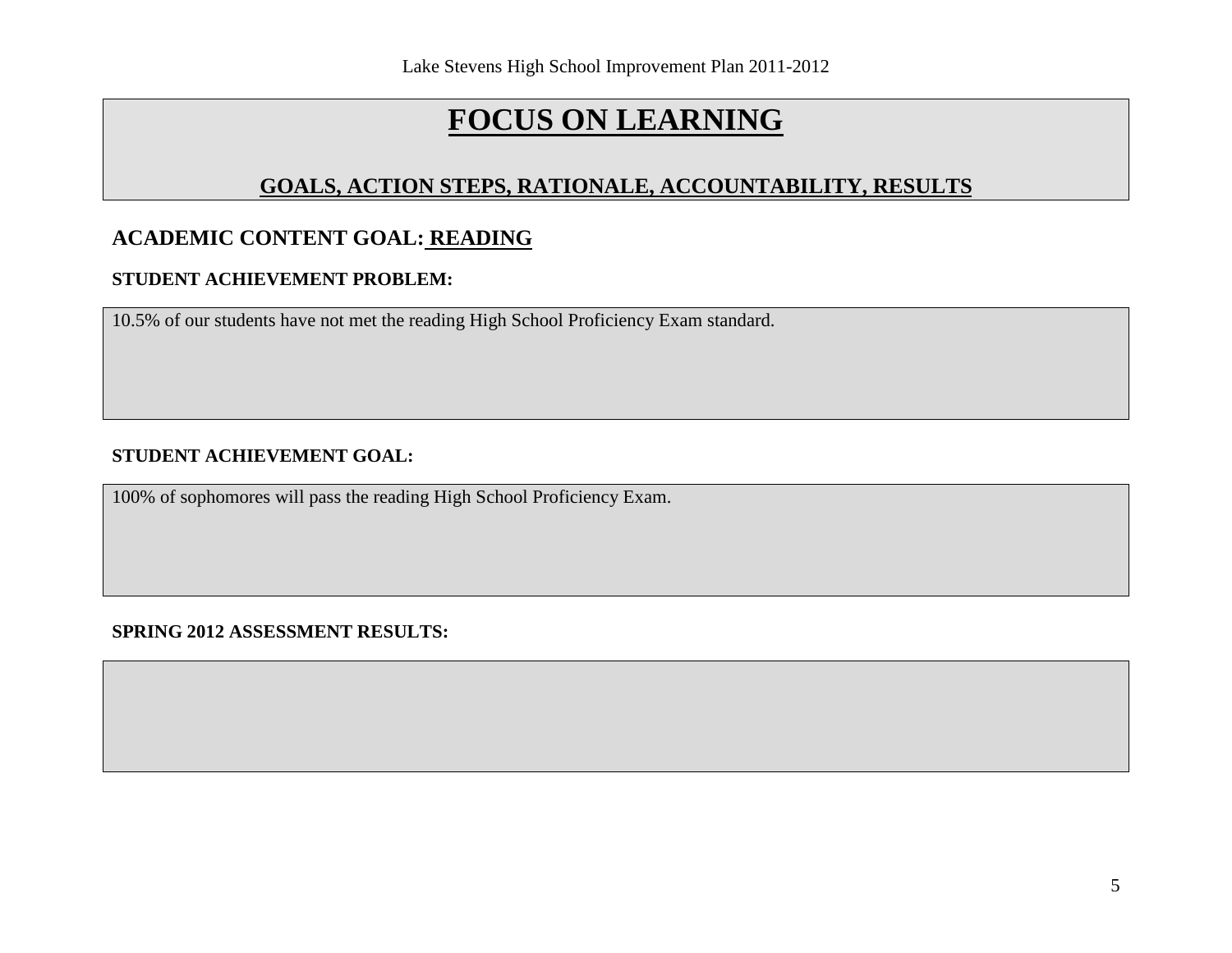# **GOALS, ACTION STEPS, RATIONALE, ACCOUNTABILITY, RESULTS**

## **ACADEMIC CONTENT GOAL: READING**

### **STUDENT ACHIEVEMENT PROBLEM:**

10.5% of our students have not met the reading High School Proficiency Exam standard.

## **STUDENT ACHIEVEMENT GOAL:**

100% of sophomores will pass the reading High School Proficiency Exam.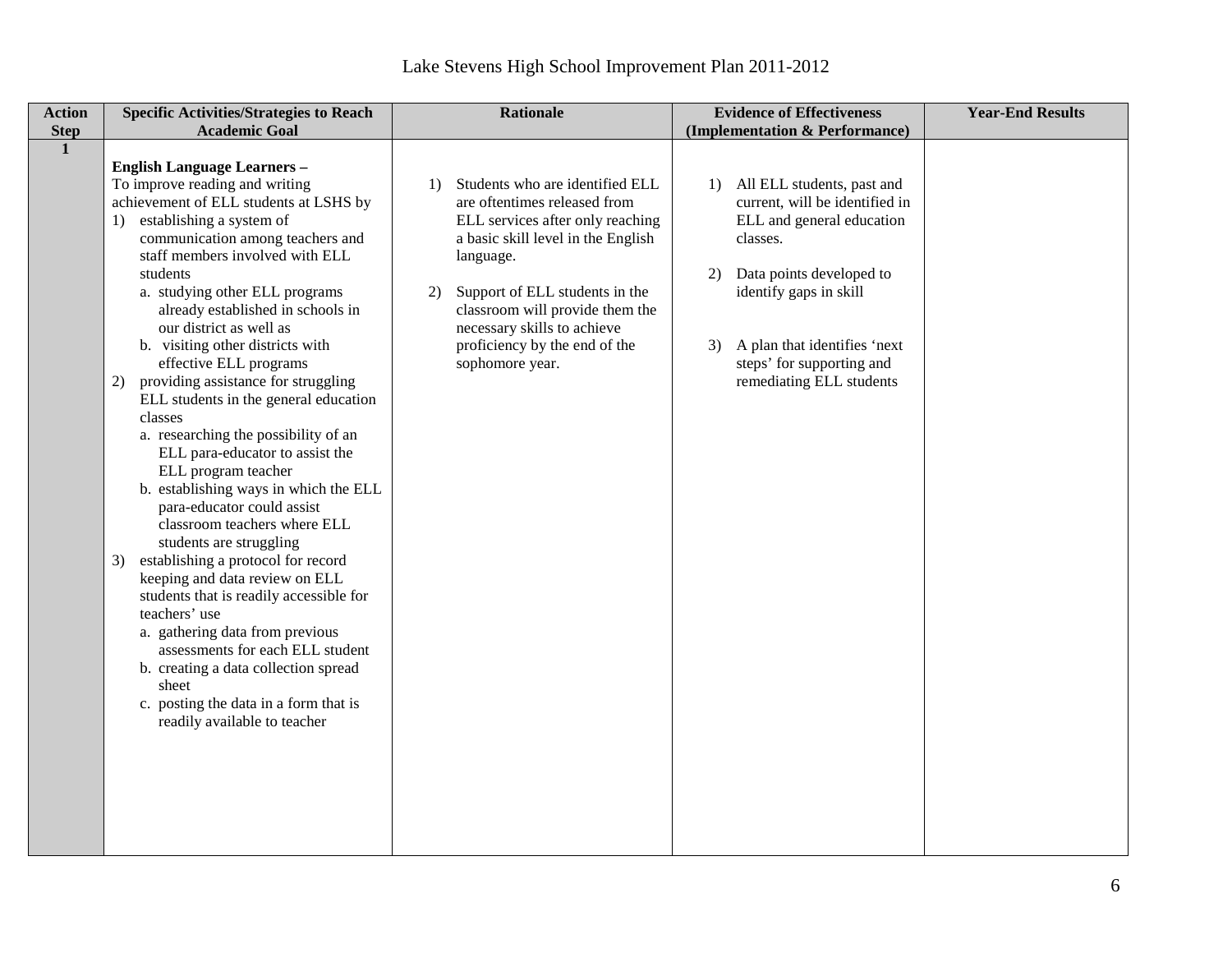| <b>Action</b><br><b>Step</b> | <b>Specific Activities/Strategies to Reach</b><br><b>Academic Goal</b>                                                                                                                                                                                                                                                                                                                                                                                                                                                                                                                                                                                                                                                                                                                                                                                                                                                                                                                                                                                                           | <b>Rationale</b>                                                                                                                                                                                                                                                                                                                                     | <b>Evidence of Effectiveness</b><br>(Implementation & Performance)                                                                                                                                                                                                  | <b>Year-End Results</b> |
|------------------------------|----------------------------------------------------------------------------------------------------------------------------------------------------------------------------------------------------------------------------------------------------------------------------------------------------------------------------------------------------------------------------------------------------------------------------------------------------------------------------------------------------------------------------------------------------------------------------------------------------------------------------------------------------------------------------------------------------------------------------------------------------------------------------------------------------------------------------------------------------------------------------------------------------------------------------------------------------------------------------------------------------------------------------------------------------------------------------------|------------------------------------------------------------------------------------------------------------------------------------------------------------------------------------------------------------------------------------------------------------------------------------------------------------------------------------------------------|---------------------------------------------------------------------------------------------------------------------------------------------------------------------------------------------------------------------------------------------------------------------|-------------------------|
| $\mathbf{1}$                 | <b>English Language Learners -</b><br>To improve reading and writing<br>achievement of ELL students at LSHS by<br>1) establishing a system of<br>communication among teachers and<br>staff members involved with ELL<br>students<br>a. studying other ELL programs<br>already established in schools in<br>our district as well as<br>b. visiting other districts with<br>effective ELL programs<br>providing assistance for struggling<br>2)<br>ELL students in the general education<br>classes<br>a. researching the possibility of an<br>ELL para-educator to assist the<br>ELL program teacher<br>b. establishing ways in which the ELL<br>para-educator could assist<br>classroom teachers where ELL<br>students are struggling<br>establishing a protocol for record<br>3)<br>keeping and data review on ELL<br>students that is readily accessible for<br>teachers' use<br>a. gathering data from previous<br>assessments for each ELL student<br>b. creating a data collection spread<br>sheet<br>c. posting the data in a form that is<br>readily available to teacher | Students who are identified ELL<br>$\left( \frac{1}{2} \right)$<br>are oftentimes released from<br>ELL services after only reaching<br>a basic skill level in the English<br>language.<br>Support of ELL students in the<br>2)<br>classroom will provide them the<br>necessary skills to achieve<br>proficiency by the end of the<br>sophomore year. | 1) All ELL students, past and<br>current, will be identified in<br>ELL and general education<br>classes.<br>Data points developed to<br>2)<br>identify gaps in skill<br>A plan that identifies 'next<br>3)<br>steps' for supporting and<br>remediating ELL students |                         |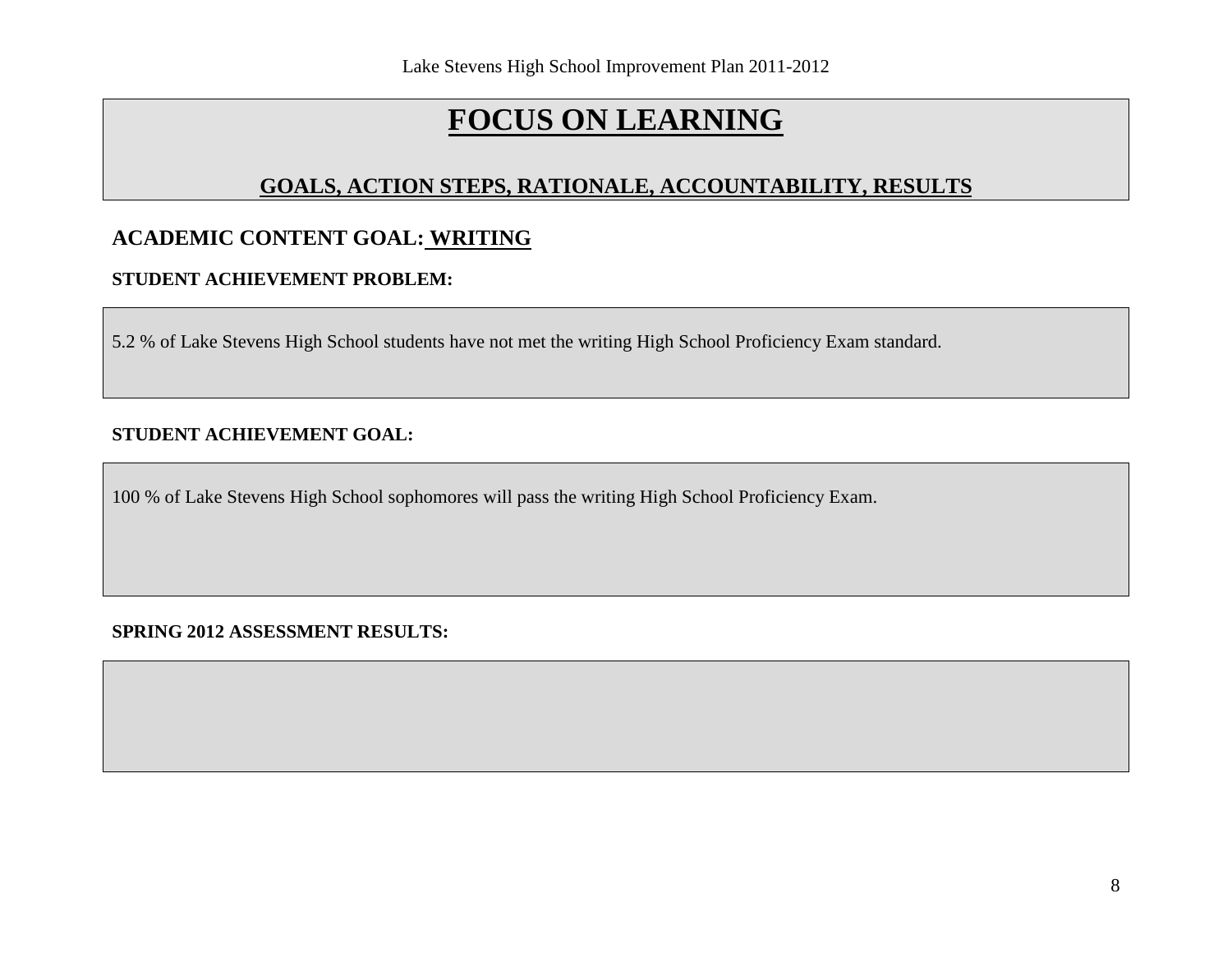# **GOALS, ACTION STEPS, RATIONALE, ACCOUNTABILITY, RESULTS**

# **ACADEMIC CONTENT GOAL: WRITING**

## **STUDENT ACHIEVEMENT PROBLEM:**

5.2 % of Lake Stevens High School students have not met the writing High School Proficiency Exam standard.

### **STUDENT ACHIEVEMENT GOAL:**

100 % of Lake Stevens High School sophomores will pass the writing High School Proficiency Exam.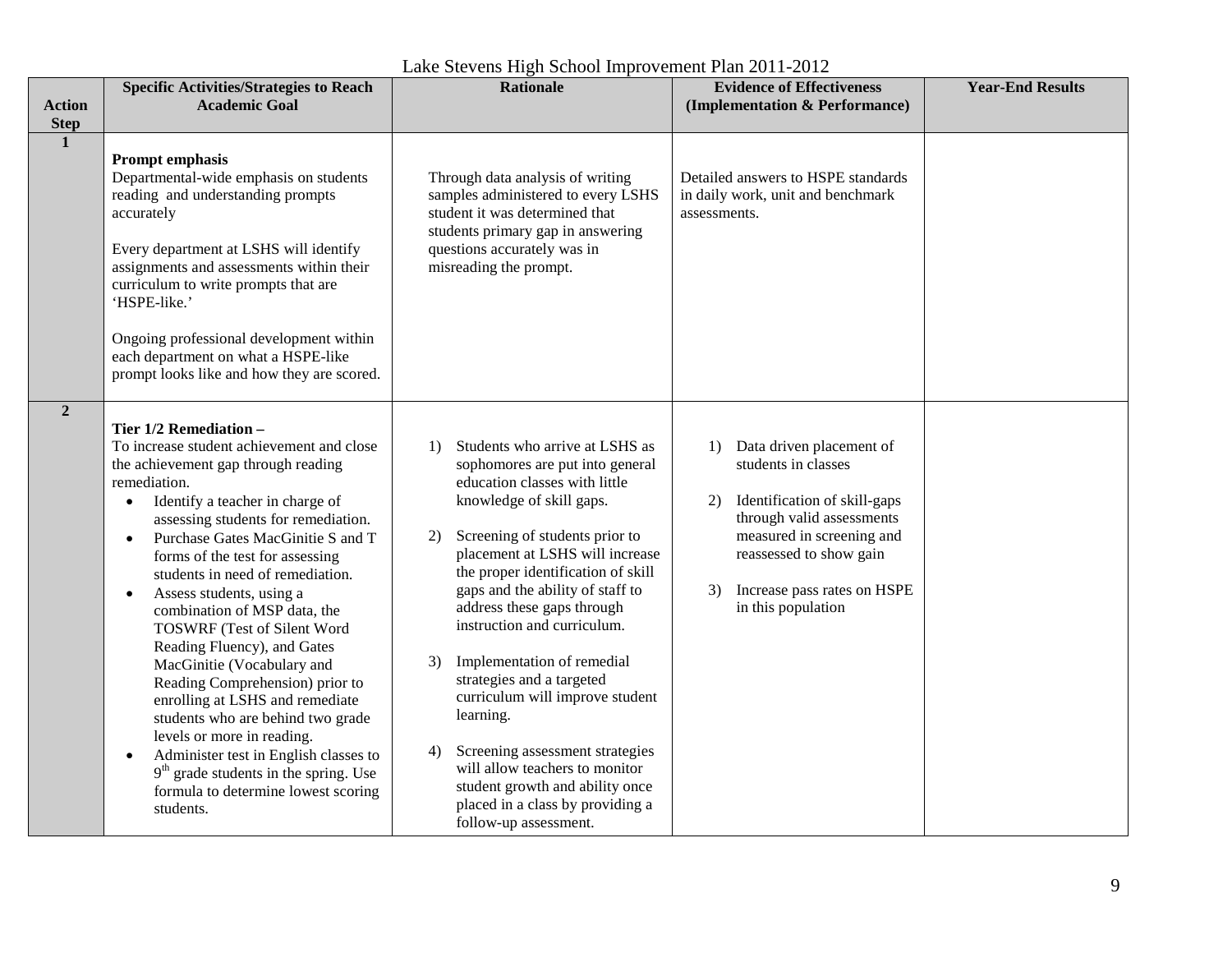| <b>Action</b><br><b>Step</b> | <b>Specific Activities/Strategies to Reach</b><br><b>Academic Goal</b>                                                                                                                                                                                                                                                                                                                                                                                                                                                                                                                                                                                                                                                                                                                                               | <b>Rationale</b>                                                                                                                                                                                                                                                                                                                                                                                                                                                                                                                                                                                                                                   | <b>Evidence of Effectiveness</b><br>(Implementation & Performance)                                                                                                                                                                          | <b>Year-End Results</b> |
|------------------------------|----------------------------------------------------------------------------------------------------------------------------------------------------------------------------------------------------------------------------------------------------------------------------------------------------------------------------------------------------------------------------------------------------------------------------------------------------------------------------------------------------------------------------------------------------------------------------------------------------------------------------------------------------------------------------------------------------------------------------------------------------------------------------------------------------------------------|----------------------------------------------------------------------------------------------------------------------------------------------------------------------------------------------------------------------------------------------------------------------------------------------------------------------------------------------------------------------------------------------------------------------------------------------------------------------------------------------------------------------------------------------------------------------------------------------------------------------------------------------------|---------------------------------------------------------------------------------------------------------------------------------------------------------------------------------------------------------------------------------------------|-------------------------|
| $\mathbf{1}$                 | <b>Prompt emphasis</b><br>Departmental-wide emphasis on students<br>reading and understanding prompts<br>accurately<br>Every department at LSHS will identify<br>assignments and assessments within their<br>curriculum to write prompts that are<br>'HSPE-like.'<br>Ongoing professional development within<br>each department on what a HSPE-like<br>prompt looks like and how they are scored.                                                                                                                                                                                                                                                                                                                                                                                                                    | Through data analysis of writing<br>samples administered to every LSHS<br>student it was determined that<br>students primary gap in answering<br>questions accurately was in<br>misreading the prompt.                                                                                                                                                                                                                                                                                                                                                                                                                                             | Detailed answers to HSPE standards<br>in daily work, unit and benchmark<br>assessments.                                                                                                                                                     |                         |
| $\overline{2}$               | Tier 1/2 Remediation -<br>To increase student achievement and close<br>the achievement gap through reading<br>remediation.<br>Identify a teacher in charge of<br>$\bullet$<br>assessing students for remediation.<br>Purchase Gates MacGinitie S and T<br>$\bullet$<br>forms of the test for assessing<br>students in need of remediation.<br>Assess students, using a<br>$\bullet$<br>combination of MSP data, the<br><b>TOSWRF</b> (Test of Silent Word<br>Reading Fluency), and Gates<br>MacGinitie (Vocabulary and<br>Reading Comprehension) prior to<br>enrolling at LSHS and remediate<br>students who are behind two grade<br>levels or more in reading.<br>Administer test in English classes to<br>$\bullet$<br>$9th$ grade students in the spring. Use<br>formula to determine lowest scoring<br>students. | Students who arrive at LSHS as<br>1)<br>sophomores are put into general<br>education classes with little<br>knowledge of skill gaps.<br>Screening of students prior to<br>2)<br>placement at LSHS will increase<br>the proper identification of skill<br>gaps and the ability of staff to<br>address these gaps through<br>instruction and curriculum.<br>Implementation of remedial<br>3)<br>strategies and a targeted<br>curriculum will improve student<br>learning.<br>Screening assessment strategies<br>4)<br>will allow teachers to monitor<br>student growth and ability once<br>placed in a class by providing a<br>follow-up assessment. | Data driven placement of<br>1)<br>students in classes<br>Identification of skill-gaps<br>2)<br>through valid assessments<br>measured in screening and<br>reassessed to show gain<br>Increase pass rates on HSPE<br>3)<br>in this population |                         |

Lake Stevens High School Improvement Plan 2011-2012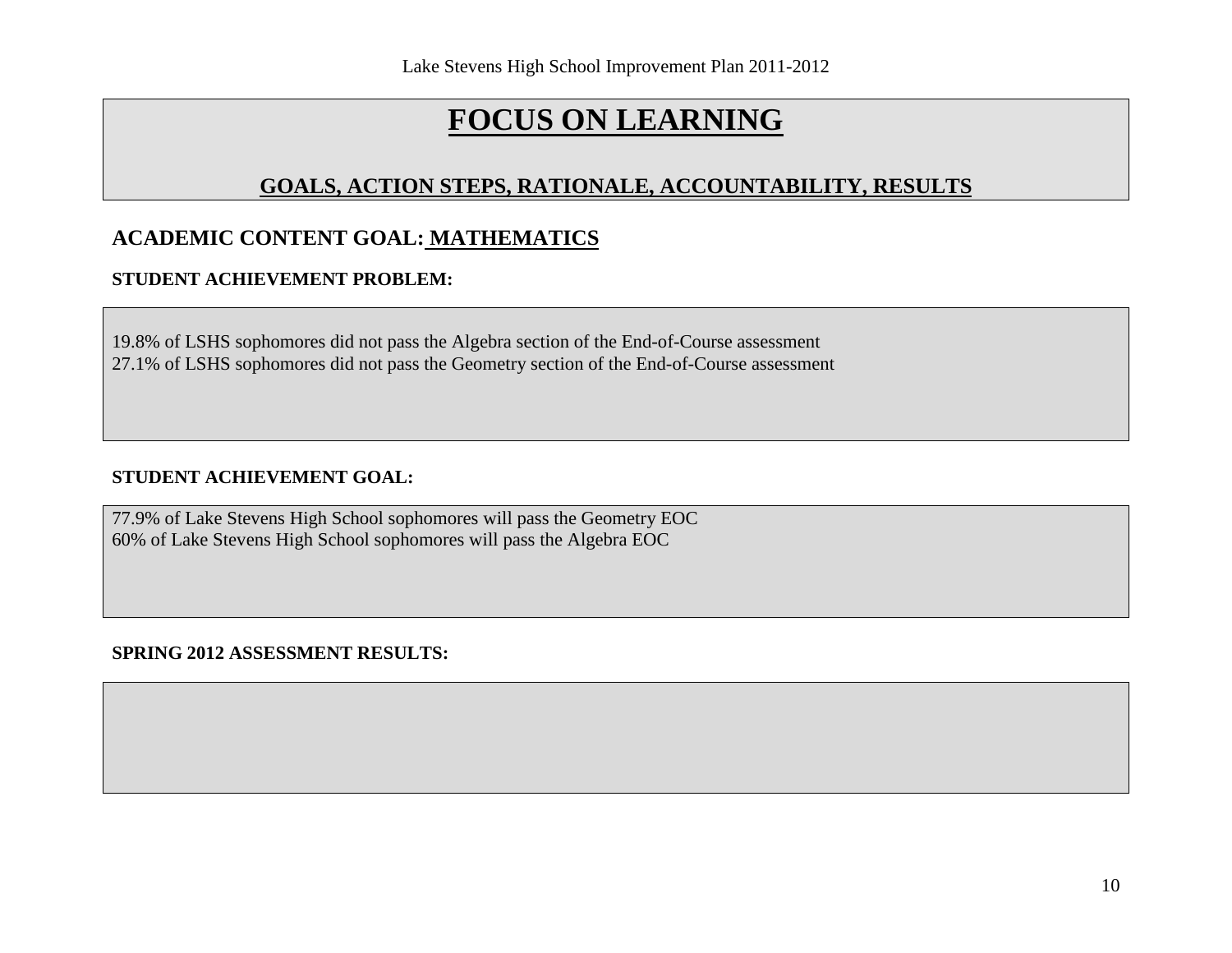# **GOALS, ACTION STEPS, RATIONALE, ACCOUNTABILITY, RESULTS**

# **ACADEMIC CONTENT GOAL: MATHEMATICS**

## **STUDENT ACHIEVEMENT PROBLEM:**

19.8% of LSHS sophomores did not pass the Algebra section of the End-of-Course assessment 27.1% of LSHS sophomores did not pass the Geometry section of the End-of-Course assessment

#### **STUDENT ACHIEVEMENT GOAL:**

77.9% of Lake Stevens High School sophomores will pass the Geometry EOC 60% of Lake Stevens High School sophomores will pass the Algebra EOC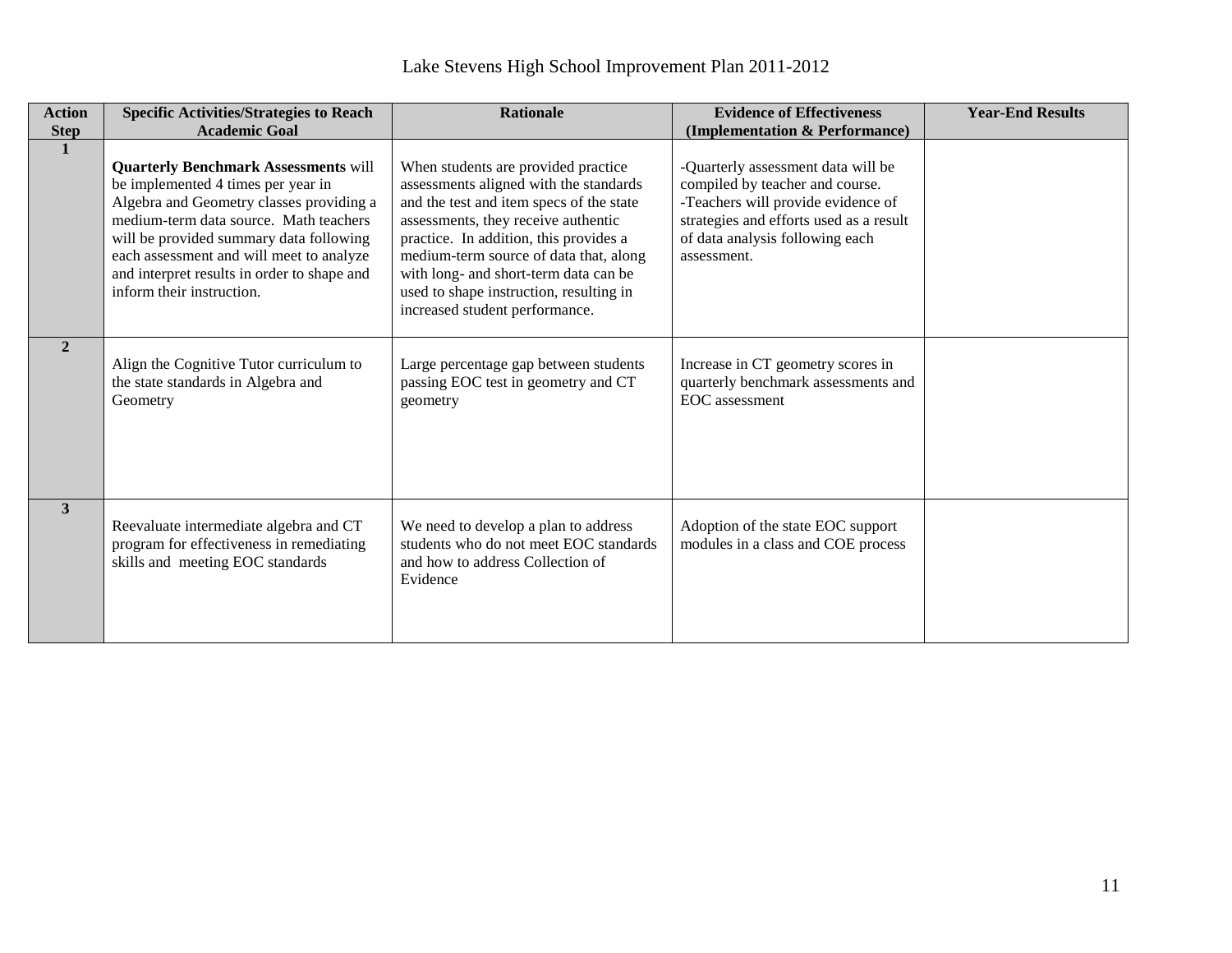| <b>Action</b><br><b>Step</b> | <b>Specific Activities/Strategies to Reach</b><br><b>Academic Goal</b>                                                                                                                                                                                                                                                                     | <b>Rationale</b>                                                                                                                                                                                                                                                                                                                                                           | <b>Evidence of Effectiveness</b><br>(Implementation & Performance)                                                                                                                                       | <b>Year-End Results</b> |
|------------------------------|--------------------------------------------------------------------------------------------------------------------------------------------------------------------------------------------------------------------------------------------------------------------------------------------------------------------------------------------|----------------------------------------------------------------------------------------------------------------------------------------------------------------------------------------------------------------------------------------------------------------------------------------------------------------------------------------------------------------------------|----------------------------------------------------------------------------------------------------------------------------------------------------------------------------------------------------------|-------------------------|
| $\mathbf{1}$                 | <b>Quarterly Benchmark Assessments will</b><br>be implemented 4 times per year in<br>Algebra and Geometry classes providing a<br>medium-term data source. Math teachers<br>will be provided summary data following<br>each assessment and will meet to analyze<br>and interpret results in order to shape and<br>inform their instruction. | When students are provided practice<br>assessments aligned with the standards<br>and the test and item specs of the state<br>assessments, they receive authentic<br>practice. In addition, this provides a<br>medium-term source of data that, along<br>with long- and short-term data can be<br>used to shape instruction, resulting in<br>increased student performance. | -Quarterly assessment data will be<br>compiled by teacher and course.<br>-Teachers will provide evidence of<br>strategies and efforts used as a result<br>of data analysis following each<br>assessment. |                         |
| $\overline{2}$               | Align the Cognitive Tutor curriculum to<br>the state standards in Algebra and<br>Geometry                                                                                                                                                                                                                                                  | Large percentage gap between students<br>passing EOC test in geometry and CT<br>geometry                                                                                                                                                                                                                                                                                   | Increase in CT geometry scores in<br>quarterly benchmark assessments and<br>EOC assessment                                                                                                               |                         |
| 3                            | Reevaluate intermediate algebra and CT<br>program for effectiveness in remediating<br>skills and meeting EOC standards                                                                                                                                                                                                                     | We need to develop a plan to address<br>students who do not meet EOC standards<br>and how to address Collection of<br>Evidence                                                                                                                                                                                                                                             | Adoption of the state EOC support<br>modules in a class and COE process                                                                                                                                  |                         |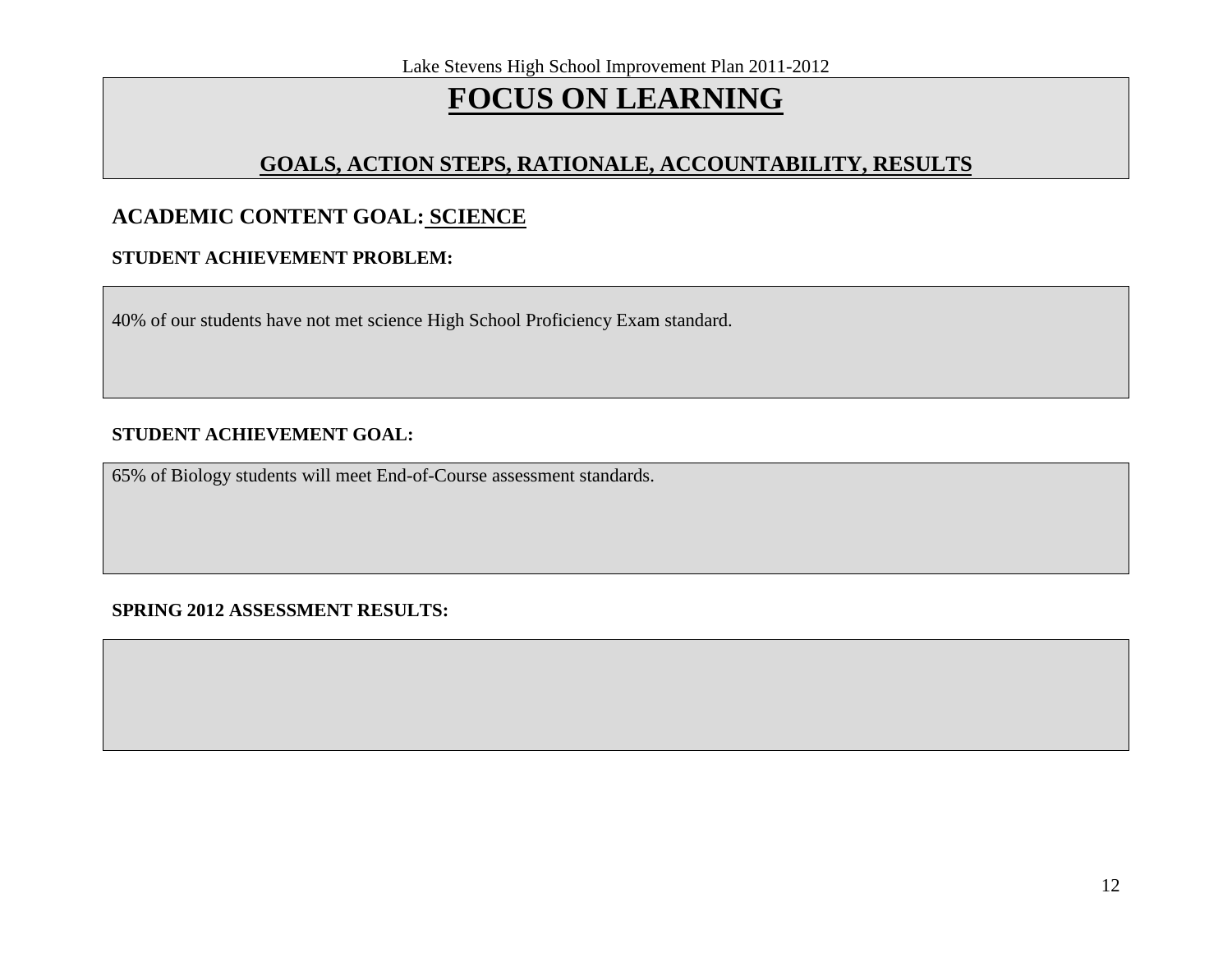# **GOALS, ACTION STEPS, RATIONALE, ACCOUNTABILITY, RESULTS**

## **ACADEMIC CONTENT GOAL: SCIENCE**

### **STUDENT ACHIEVEMENT PROBLEM:**

40% of our students have not met science High School Proficiency Exam standard.

### **STUDENT ACHIEVEMENT GOAL:**

65% of Biology students will meet End-of-Course assessment standards.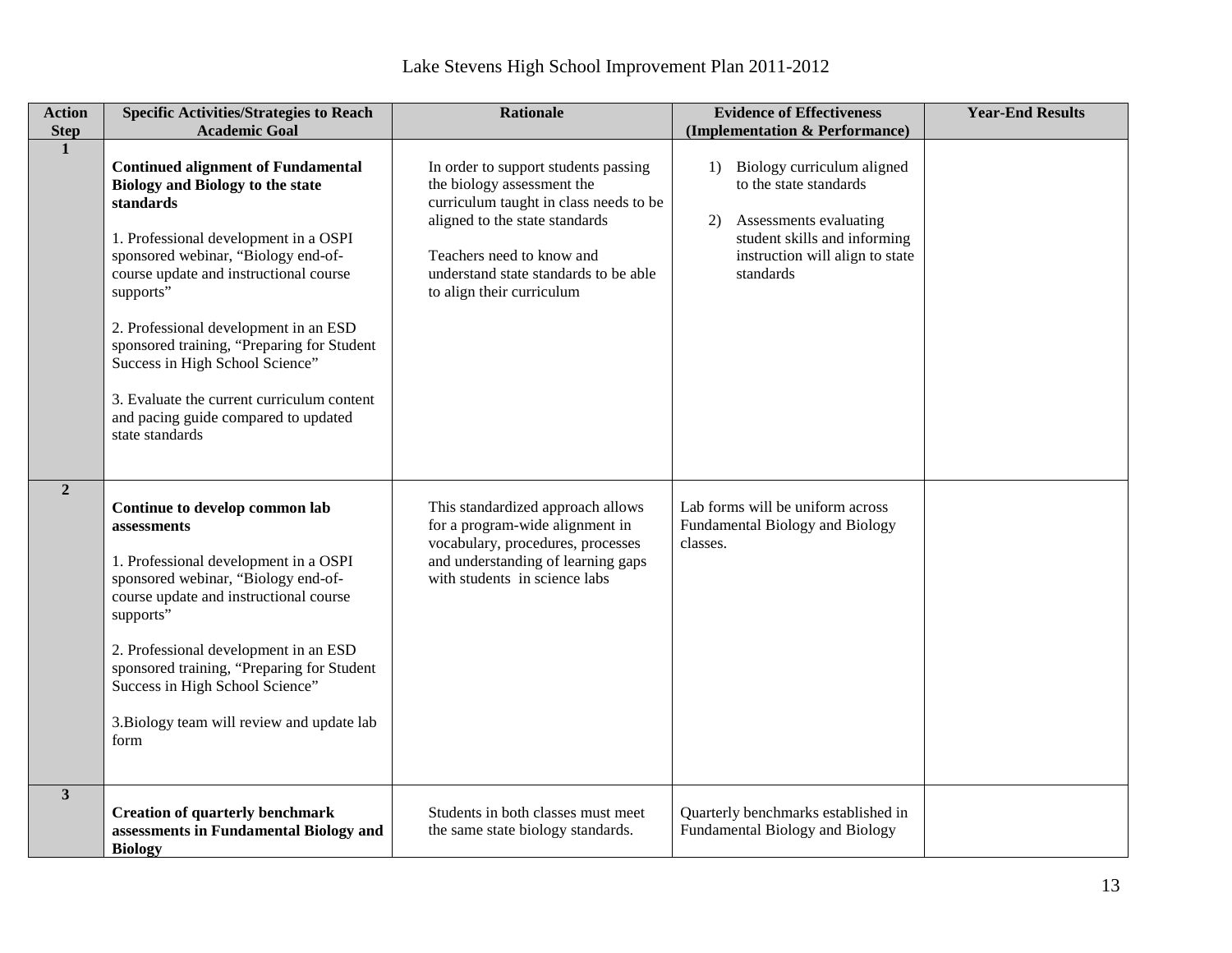| <b>Action</b>  | <b>Specific Activities/Strategies to Reach</b>                                                                                                                                                                                                                                                                                                                                                                                                                              | <b>Rationale</b>                                                                                                                                                                                                                                  | <b>Evidence of Effectiveness</b>                                                                                                                                        | <b>Year-End Results</b> |
|----------------|-----------------------------------------------------------------------------------------------------------------------------------------------------------------------------------------------------------------------------------------------------------------------------------------------------------------------------------------------------------------------------------------------------------------------------------------------------------------------------|---------------------------------------------------------------------------------------------------------------------------------------------------------------------------------------------------------------------------------------------------|-------------------------------------------------------------------------------------------------------------------------------------------------------------------------|-------------------------|
| <b>Step</b>    | <b>Academic Goal</b>                                                                                                                                                                                                                                                                                                                                                                                                                                                        |                                                                                                                                                                                                                                                   | (Implementation & Performance)                                                                                                                                          |                         |
| $\mathbf{1}$   | <b>Continued alignment of Fundamental</b><br><b>Biology and Biology to the state</b><br>standards<br>1. Professional development in a OSPI<br>sponsored webinar, "Biology end-of-<br>course update and instructional course<br>supports"<br>2. Professional development in an ESD<br>sponsored training, "Preparing for Student<br>Success in High School Science"<br>3. Evaluate the current curriculum content<br>and pacing guide compared to updated<br>state standards | In order to support students passing<br>the biology assessment the<br>curriculum taught in class needs to be<br>aligned to the state standards<br>Teachers need to know and<br>understand state standards to be able<br>to align their curriculum | 1) Biology curriculum aligned<br>to the state standards<br>Assessments evaluating<br>2)<br>student skills and informing<br>instruction will align to state<br>standards |                         |
| $\overline{2}$ | Continue to develop common lab<br>assessments<br>1. Professional development in a OSPI<br>sponsored webinar, "Biology end-of-<br>course update and instructional course<br>supports"<br>2. Professional development in an ESD<br>sponsored training, "Preparing for Student<br>Success in High School Science"<br>3. Biology team will review and update lab<br>form                                                                                                        | This standardized approach allows<br>for a program-wide alignment in<br>vocabulary, procedures, processes<br>and understanding of learning gaps<br>with students in science labs                                                                  | Lab forms will be uniform across<br>Fundamental Biology and Biology<br>classes.                                                                                         |                         |
| 3 <sup>1</sup> | <b>Creation of quarterly benchmark</b><br>assessments in Fundamental Biology and<br><b>Biology</b>                                                                                                                                                                                                                                                                                                                                                                          | Students in both classes must meet<br>the same state biology standards.                                                                                                                                                                           | Quarterly benchmarks established in<br>Fundamental Biology and Biology                                                                                                  |                         |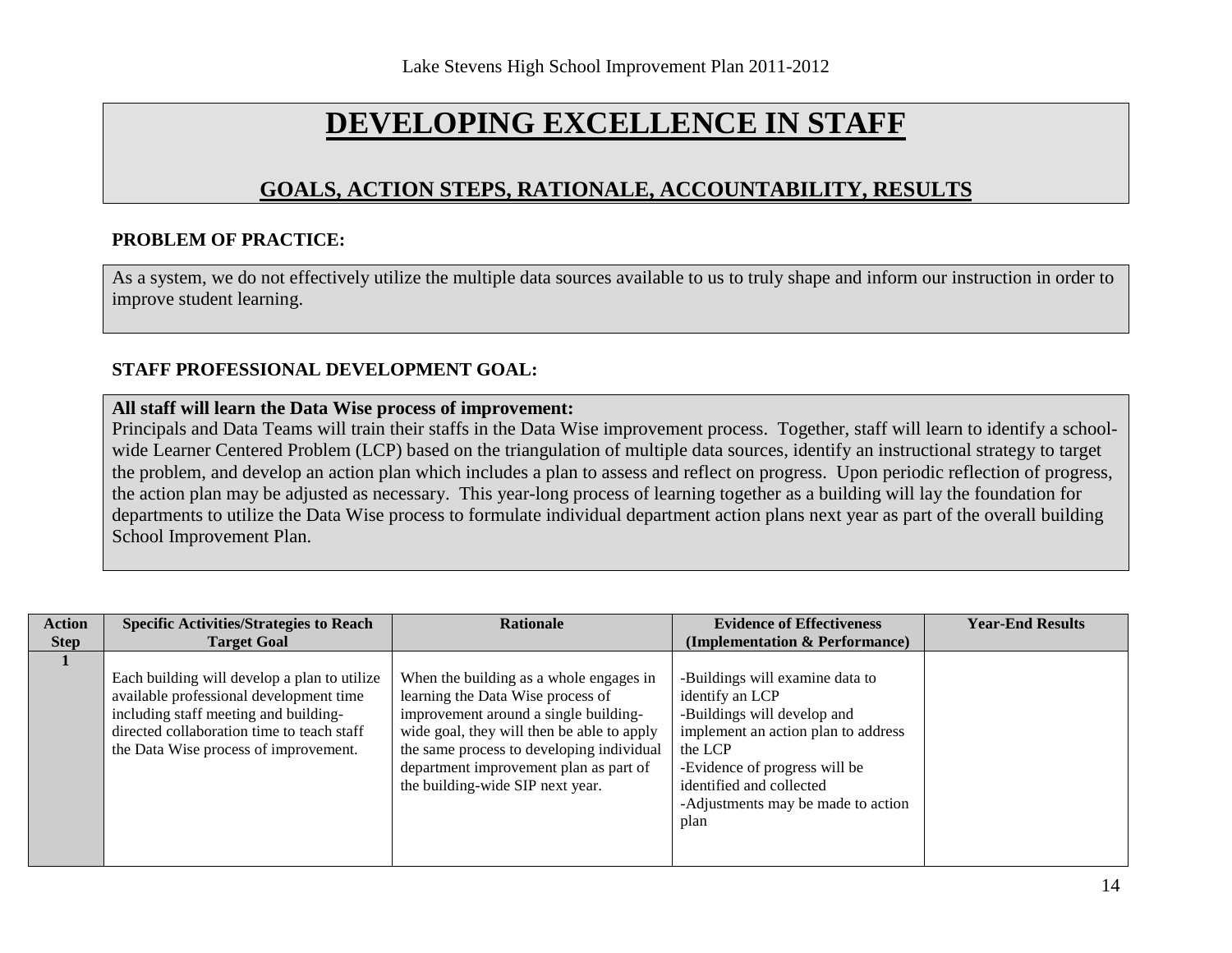# **DEVELOPING EXCELLENCE IN STAFF**

## **GOALS, ACTION STEPS, RATIONALE, ACCOUNTABILITY, RESULTS**

#### **PROBLEM OF PRACTICE:**

As a system, we do not effectively utilize the multiple data sources available to us to truly shape and inform our instruction in order to improve student learning.

#### **STAFF PROFESSIONAL DEVELOPMENT GOAL:**

#### **All staff will learn the Data Wise process of improvement:**

Principals and Data Teams will train their staffs in the Data Wise improvement process. Together, staff will learn to identify a schoolwide Learner Centered Problem (LCP) based on the triangulation of multiple data sources, identify an instructional strategy to target the problem, and develop an action plan which includes a plan to assess and reflect on progress. Upon periodic reflection of progress, the action plan may be adjusted as necessary. This year-long process of learning together as a building will lay the foundation for departments to utilize the Data Wise process to formulate individual department action plans next year as part of the overall building School Improvement Plan.

| <b>Action</b> | <b>Specific Activities/Strategies to Reach</b>                                                                                                                                                                          | <b>Rationale</b>                                                                                                                                                                                                                                                                               | <b>Evidence of Effectiveness</b>                                                                                                                                                                                                               | <b>Year-End Results</b> |
|---------------|-------------------------------------------------------------------------------------------------------------------------------------------------------------------------------------------------------------------------|------------------------------------------------------------------------------------------------------------------------------------------------------------------------------------------------------------------------------------------------------------------------------------------------|------------------------------------------------------------------------------------------------------------------------------------------------------------------------------------------------------------------------------------------------|-------------------------|
| <b>Step</b>   | <b>Target Goal</b>                                                                                                                                                                                                      |                                                                                                                                                                                                                                                                                                | (Implementation & Performance)                                                                                                                                                                                                                 |                         |
|               | Each building will develop a plan to utilize<br>available professional development time<br>including staff meeting and building-<br>directed collaboration time to teach staff<br>the Data Wise process of improvement. | When the building as a whole engages in<br>learning the Data Wise process of<br>improvement around a single building-<br>wide goal, they will then be able to apply<br>the same process to developing individual<br>department improvement plan as part of<br>the building-wide SIP next year. | -Buildings will examine data to<br>identify an LCP<br>-Buildings will develop and<br>implement an action plan to address<br>the LCP<br>-Evidence of progress will be<br>identified and collected<br>-Adjustments may be made to action<br>plan |                         |